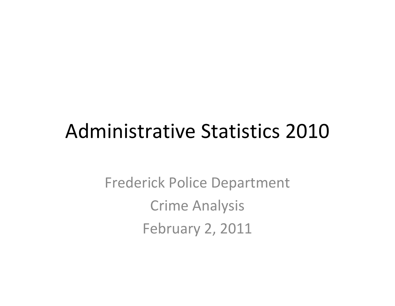# Administrative Statistics 2010

Frederick Police Department Crime Analysis February 2, 2011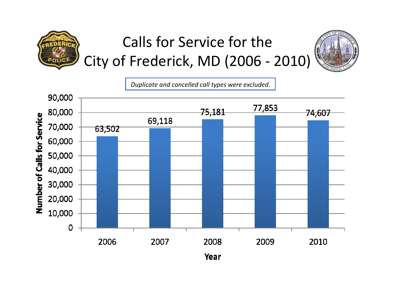

### Calls for Service for the City of Frederick, MD (2006 ‐ 2010)



*Duplicate and cancelled call types were excluded*.

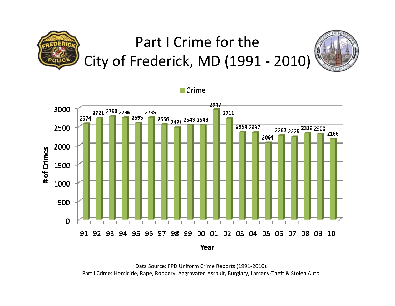## Part I Crime for the City of Frederick, MD (1991 ‐ 2010)





Data Source: FPD Uniform Crime Reports (1991‐2010). Part I Crime: Homicide, Rape, Robbery, Aggravated Assault, Burglary, Larceny‐Theft & Stolen Auto.

 $\blacksquare$  Crime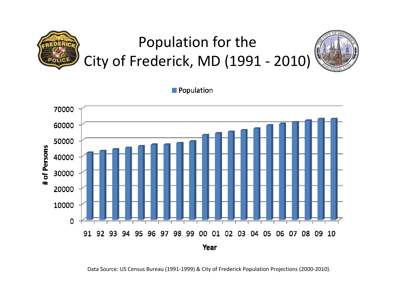## Population for the City of Frederick, MD (1991 ‐ 2010)



Population



Data Source: US Census Bureau (1991‐1999) & City of Frederick Population Projections (2000‐2010).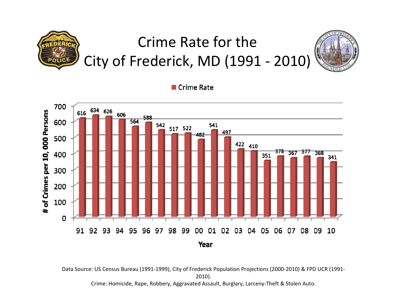## Crime Rate for the City of Frederick, MD (1991 ‐ 2010)



■ Crime Rate



Data Source: US Census Bureau (1991‐1999), City of Frederick Population Projections (2000‐2010) & FPD UCR (1991‐ 2010).

Crime: Homicide, Rape, Robbery, Aggravated Assault, Burglary, Larceny‐Theft & Stolen Auto.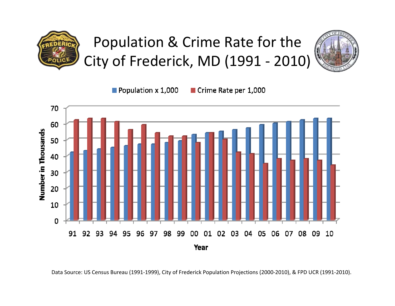

#### Population & Crime Rate for the City of Frederick, MD (1991 ‐ 2010)



Population  $\times$  1,000

Crime Rate per 1,000



Data Source: US Census Bureau (1991‐1999), City of Frederick Population Projections (2000‐2010), & FPD UCR (1991‐2010).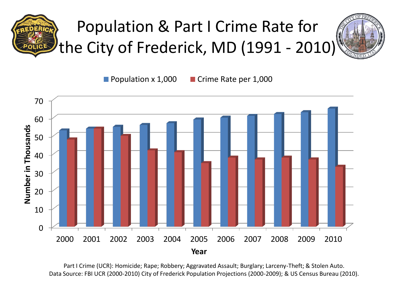



**Population x 1,000 Crime Rate per 1,000** 



Part I Crime (UCR): Homicide; Rape; Robbery; Aggravated Assault; Burglary; Larceny-Theft; & Stolen Auto. Data Source: FBI UCR (2000-2010) City of Frederick Population Projections (2000-2009); & US Census Bureau (2010).